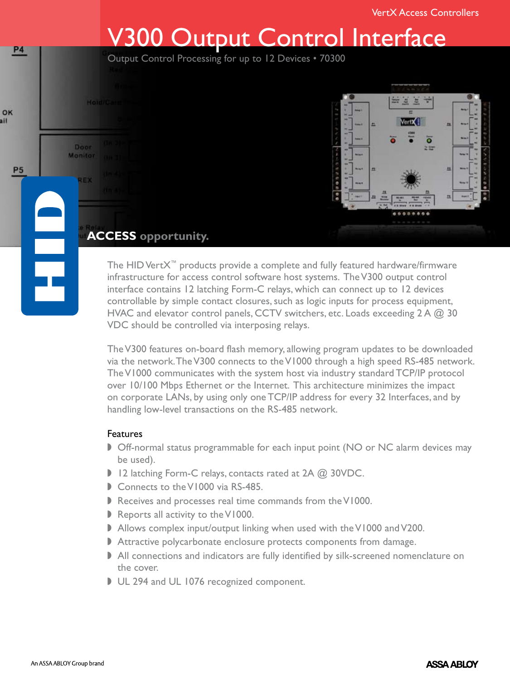# Output Control Interface

Output Control Processing for up to 12 Devices • 70300



The HID VertX™ products provide a complete and fully featured hardware/firmware infrastructure for access control software host systems. The V300 output control interface contains 12 latching Form-C relays, which can connect up to 12 devices controllable by simple contact closures, such as logic inputs for process equipment, HVAC and elevator control panels, CCTV switchers, etc. Loads exceeding  $2A \omega$  30 VDC should be controlled via interposing relays.

The V300 features on-board flash memory, allowing program updates to be downloaded via the network. The V300 connects to the V1000 through a high speed RS-485 network. The V1000 communicates with the system host via industry standard TCP/IP protocol over 10/100 Mbps Ethernet or the Internet. This architecture minimizes the impact on corporate LANs, by using only one TCP/IP address for every 32 Interfaces, and by handling low-level transactions on the RS-485 network.

### **Features**

HoldiCar

Door Monitor

a pri s

- **D** Off-normal status programmable for each input point (NO or NC alarm devices may be used).
- 12 latching Form-C relays, contacts rated at  $2A$   $\omega$  30VDC.
- Connects to the V1000 via RS-485.
- Receives and processes real time commands from the V1000.
- Reports all activity to the V1000.
- Allows complex input/output linking when used with the V1000 and V200.
- Attractive polycarbonate enclosure protects components from damage.
- I All connections and indicators are fully identified by silk-screened nomenclature on the cover.
- UL 294 and UL 1076 recognized component.

P<sub>4</sub>

OK ail

P<sub>5</sub>